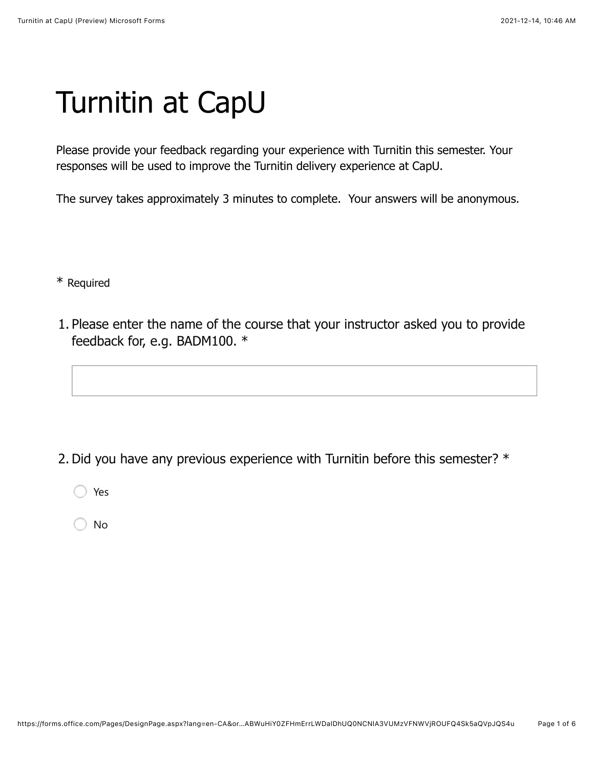## Turnitin at CapU

Please provide your feedback regarding your experience with Turnitin this semester. Your responses will be used to improve the Turnitin delivery experience at CapU.

The survey takes approximately 3 minutes to complete. Your answers will be anonymous.

\* Required

1. Please enter the name of the course that your instructor asked you to provide feedback for, e.g. BADM100. \*

2. Did you have any previous experience with Turnitin before this semester? \*

Yes

No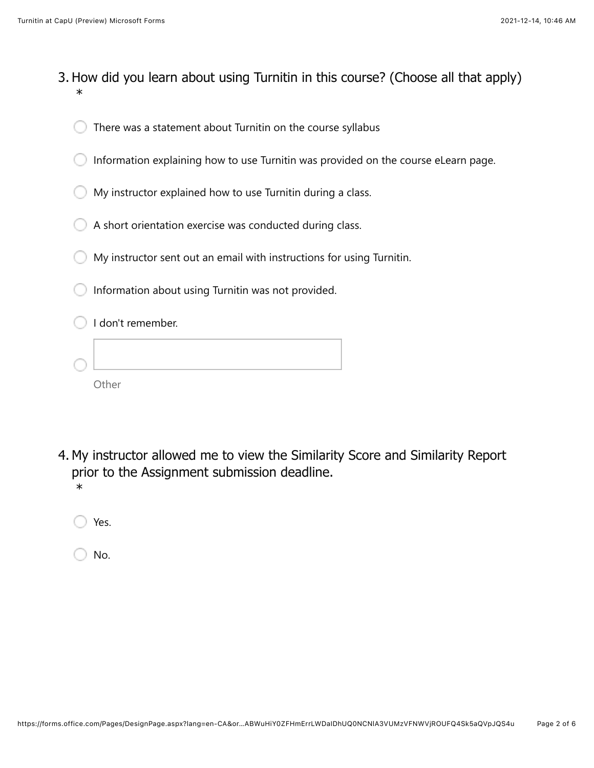- 3. How did you learn about using Turnitin in this course? (Choose all that apply) \*
	- There was a statement about Turnitin on the course syllabus
	- Information explaining how to use Turnitin was provided on the course eLearn page.
	- My instructor explained how to use Turnitin during a class.
	- A short orientation exercise was conducted during class.
	- My instructor sent out an email with instructions for using Turnitin.
	- Information about using Turnitin was not provided.

| I don't remember. |
|-------------------|
|                   |
| Other             |

- 4. My instructor allowed me to view the Similarity Score and Similarity Report prior to the Assignment submission deadline. \*
	- Yes.

No.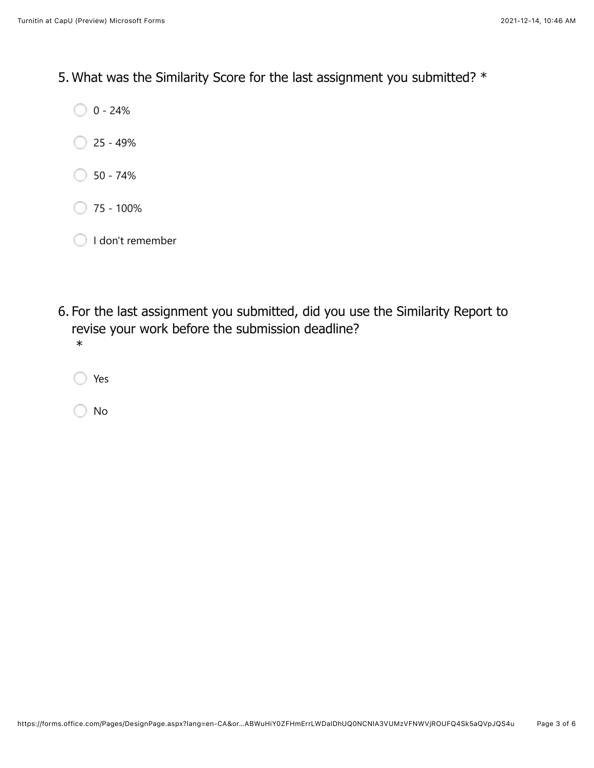5. What was the Similarity Score for the last assignment you submitted? \*

 $0 - 24%$ 

- $\bigcirc$  25 49%
- $\bigcirc$  50 74%
- $\bigcirc$  75 100%
- I don't remember
- 6. For the last assignment you submitted, did you use the Similarity Report to revise your work before the submission deadline? \*
	- Yes

No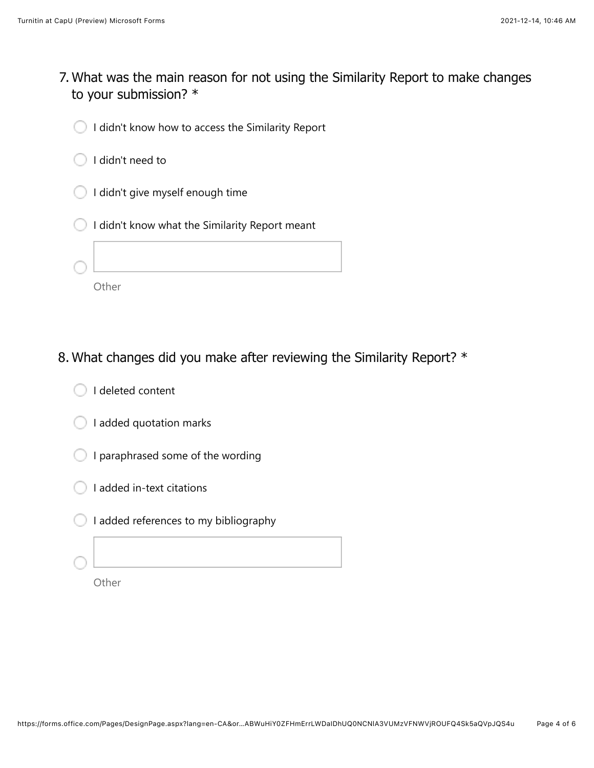- What was the main reason for not using the Similarity Report to make changes 7. to your submission? \*
	- I didn't know how to access the Similarity Report C
	- I didn't need to
	- I didn't give myself enough time
	- I didn't know what the Similarity Report meant
	-

**Other** 

8. What changes did you make after reviewing the Similarity Report? \*

| I deleted content |  |
|-------------------|--|
|                   |  |

- $\bigcirc$  I added quotation marks
- I paraphrased some of the wording
- I added in-text citations
- I added references to my bibliography
	-

**Other**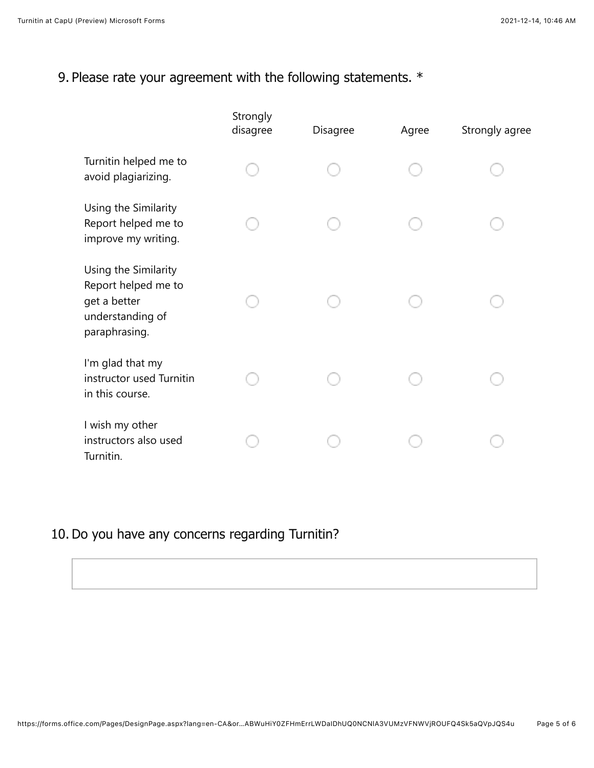## 9. Please rate your agreement with the following statements. \*

|                                                                                                  | Strongly<br>disagree | Disagree | Agree | Strongly agree |
|--------------------------------------------------------------------------------------------------|----------------------|----------|-------|----------------|
| Turnitin helped me to<br>avoid plagiarizing.                                                     |                      |          |       |                |
| Using the Similarity<br>Report helped me to<br>improve my writing.                               |                      |          |       |                |
| Using the Similarity<br>Report helped me to<br>get a better<br>understanding of<br>paraphrasing. |                      |          |       |                |
| I'm glad that my<br>instructor used Turnitin<br>in this course.                                  |                      |          |       |                |
| I wish my other<br>instructors also used<br>Turnitin.                                            |                      |          |       |                |

## 10. Do you have any concerns regarding Turnitin?